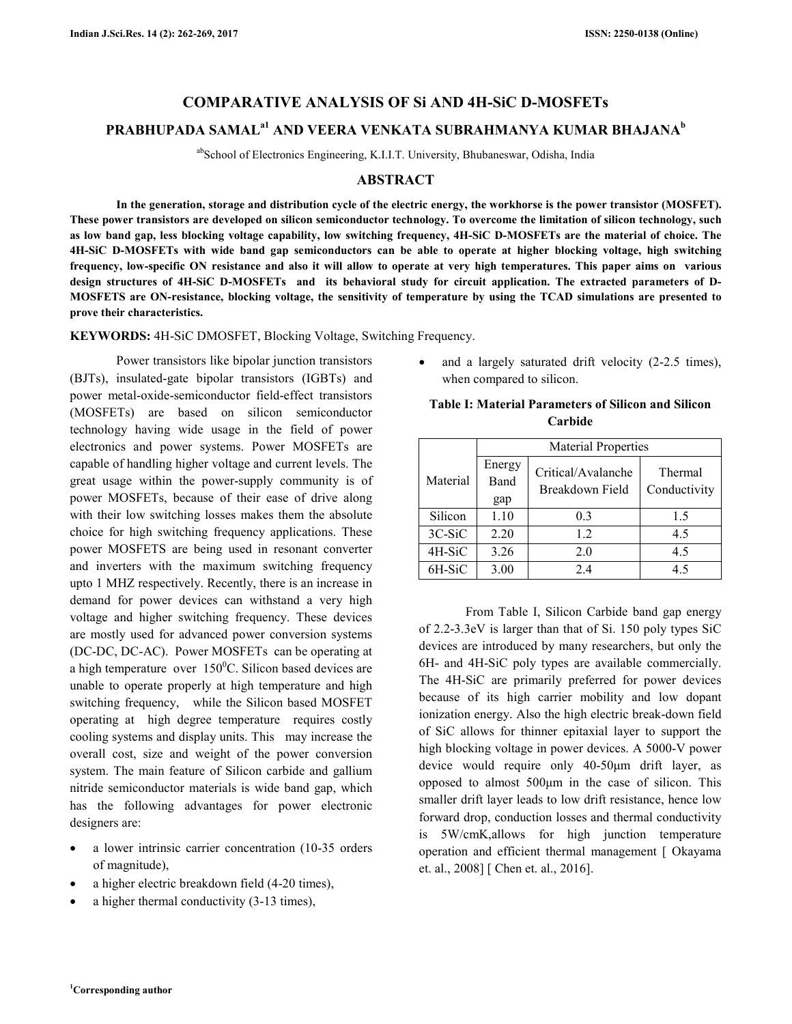# **COMPARATIVE ANALYSIS OF Si AND 4H-SiC D-MOSFETs**

## **PRABHUPADA SAMALa1 AND VEERA VENKATA SUBRAHMANYA KUMAR BHAJANA<sup>b</sup>**

abSchool of Electronics Engineering, K.I.I.T. University, Bhubaneswar, Odisha, India

### **ABSTRACT**

 **In the generation, storage and distribution cycle of the electric energy, the workhorse is the power transistor (MOSFET). These power transistors are developed on silicon semiconductor technology. To overcome the limitation of silicon technology, such as low band gap, less blocking voltage capability, low switching frequency, 4H-SiC D-MOSFETs are the material of choice. The 4H-SiC D-MOSFETs with wide band gap semiconductors can be able to operate at higher blocking voltage, high switching frequency, low-specific ON resistance and also it will allow to operate at very high temperatures. This paper aims on various design structures of 4H-SiC D-MOSFETs and its behavioral study for circuit application. The extracted parameters of D-MOSFETS are ON-resistance, blocking voltage, the sensitivity of temperature by using the TCAD simulations are presented to prove their characteristics.** 

**KEYWORDS:** 4H-SiC DMOSFET, Blocking Voltage, Switching Frequency.

 Power transistors like bipolar junction transistors (BJTs), insulated-gate bipolar transistors (IGBTs) and power metal-oxide-semiconductor field-effect transistors (MOSFETs) are based on silicon semiconductor technology having wide usage in the field of power electronics and power systems. Power MOSFETs are capable of handling higher voltage and current levels. The great usage within the power-supply community is of power MOSFETs, because of their ease of drive along with their low switching losses makes them the absolute choice for high switching frequency applications. These power MOSFETS are being used in resonant converter and inverters with the maximum switching frequency upto 1 MHZ respectively. Recently, there is an increase in demand for power devices can withstand a very high voltage and higher switching frequency. These devices are mostly used for advanced power conversion systems (DC-DC, DC-AC). Power MOSFETs can be operating at a high temperature over  $150^{\circ}$ C. Silicon based devices are unable to operate properly at high temperature and high switching frequency, while the Silicon based MOSFET operating at high degree temperature requires costly cooling systems and display units. This may increase the overall cost, size and weight of the power conversion system. The main feature of Silicon carbide and gallium nitride semiconductor materials is wide band gap, which has the following advantages for power electronic designers are:

- a lower intrinsic carrier concentration (10-35 orders of magnitude),
- a higher electric breakdown field (4-20 times),
- a higher thermal conductivity (3-13 times),

and a largely saturated drift velocity  $(2-2.5 \text{ times})$ , when compared to silicon.

| <b>Table I: Material Parameters of Silicon and Silicon</b> |
|------------------------------------------------------------|
| Carbide                                                    |
|                                                            |

|          | <b>Material Properties</b> |                                       |                         |  |
|----------|----------------------------|---------------------------------------|-------------------------|--|
| Material | Energy<br>Band<br>gap      | Critical/Avalanche<br>Breakdown Field | Thermal<br>Conductivity |  |
| Silicon  | 1.10                       | 0 <sup>3</sup>                        | 15                      |  |
| 3C-SiC   | 2.20                       | 1.2                                   | 4.5                     |  |
| 4H-SiC   | 3.26                       | 2.0                                   | 4.5                     |  |
| 6H-SiC   | 3.00                       | 2.4                                   | 45                      |  |

 From Table I, Silicon Carbide band gap energy of 2.2-3.3eV is larger than that of Si. 150 poly types SiC devices are introduced by many researchers, but only the 6H- and 4H-SiC poly types are available commercially. The 4H-SiC are primarily preferred for power devices because of its high carrier mobility and low dopant ionization energy. Also the high electric break-down field of SiC allows for thinner epitaxial layer to support the high blocking voltage in power devices. A 5000-V power device would require only 40-50µm drift layer, as opposed to almost 500µm in the case of silicon. This smaller drift layer leads to low drift resistance, hence low forward drop, conduction losses and thermal conductivity is 5W/cmK,allows for high junction temperature operation and efficient thermal management [ Okayama et. al., 2008] [ Chen et. al., 2016].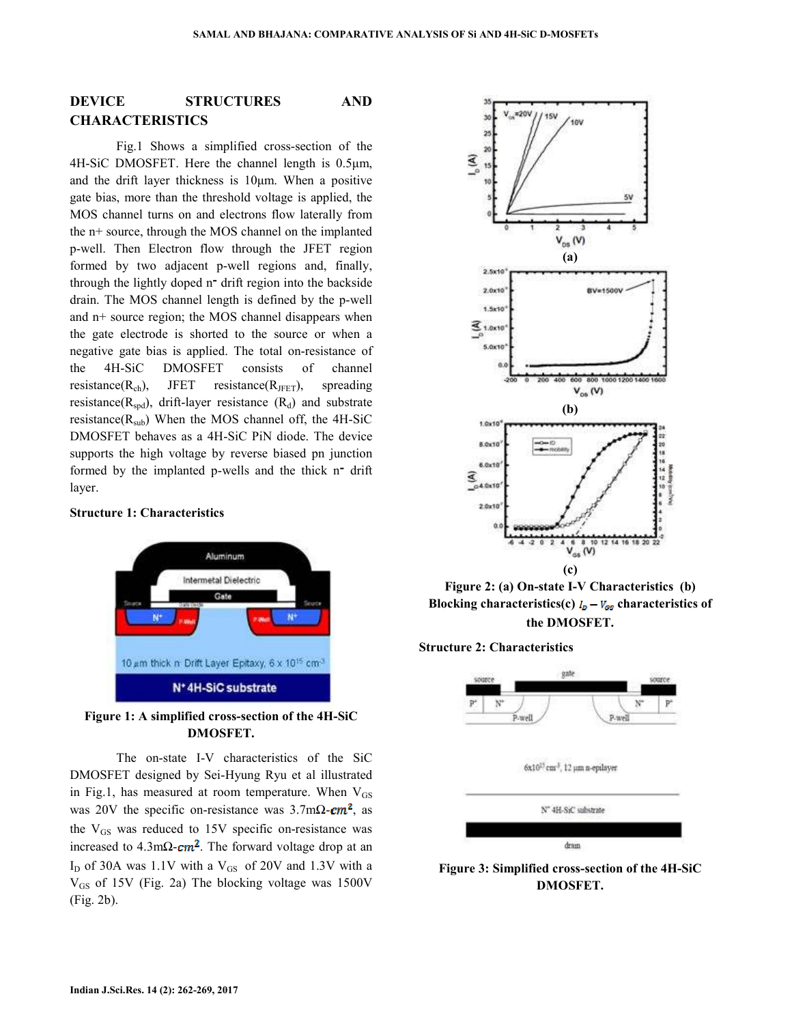## **DEVICE STRUCTURES AND CHARACTERISTICS**

 Fig.1 Shows a simplified cross-section of the 4H-SiC DMOSFET. Here the channel length is 0.5µm, and the drift layer thickness is 10µm. When a positive gate bias, more than the threshold voltage is applied, the MOS channel turns on and electrons flow laterally from the n+ source, through the MOS channel on the implanted p-well. Then Electron flow through the JFET region formed by two adjacent p-well regions and, finally, through the lightly doped n־ drift region into the backside drain. The MOS channel length is defined by the p-well and n+ source region; the MOS channel disappears when the gate electrode is shorted to the source or when a negative gate bias is applied. The total on-resistance of the 4H-SiC DMOSFET consists of channel resistance( $R_{ch}$ ), JFET resistance( $R_{\text{IFFT}}$ ), spreading resistance( $R_{\text{snd}}$ ), drift-layer resistance ( $R_d$ ) and substrate resistance( $R_{sub}$ ) When the MOS channel off, the 4H-SiC DMOSFET behaves as a 4H-SiC PiN diode. The device supports the high voltage by reverse biased pn junction formed by the implanted p-wells and the thick n־ drift layer.

**Structure 1: Characteristics** 



**Figure 1: A simplified cross-section of the 4H-SiC DMOSFET.** 

 The on-state I-V characteristics of the SiC DMOSFET designed by Sei-Hyung Ryu et al illustrated in Fig.1, has measured at room temperature. When  $V_{GS}$ was 20V the specific on-resistance was  $3.7 \text{m}\Omega$ - $\text{cm}^2$ , as the  $V_{GS}$  was reduced to 15V specific on-resistance was increased to  $4.3 \text{m}\Omega$ - $\text{cm}^2$ . The forward voltage drop at an  $I_D$  of 30A was 1.1V with a  $V_{GS}$  of 20V and 1.3V with a  $V_{GS}$  of 15V (Fig. 2a) The blocking voltage was 1500V (Fig. 2b).



**Figure 2: (a) On-state I-V Characteristics (b) Blocking characteristics(c)**  $I_p - V_{gs}$  characteristics of **the DMOSFET.** 

**Structure 2: Characteristics** 



**Figure 3: Simplified cross-section of the 4H-SiC DMOSFET.**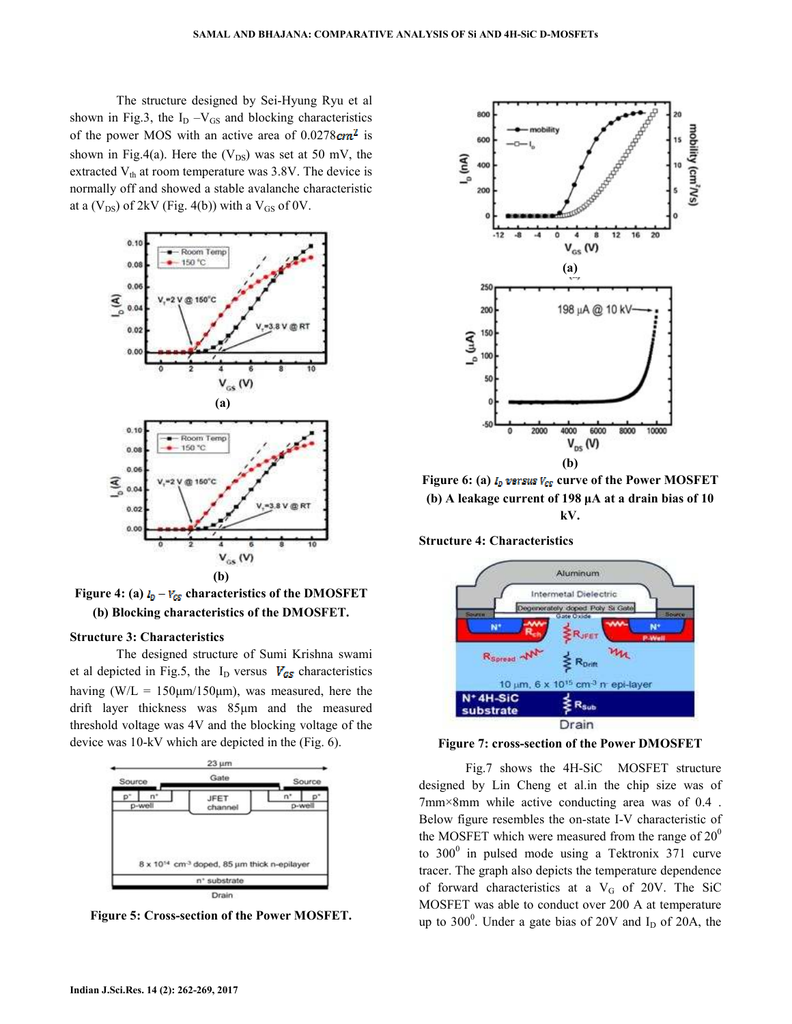The structure designed by Sei-Hyung Ryu et al shown in Fig.3, the  $I_D - V_{GS}$  and blocking characteristics of the power MOS with an active area of  $0.0278 \, \text{cm}^2$  is shown in Fig.4(a). Here the  $(V_{DS})$  was set at 50 mV, the extracted  $V_{th}$  at room temperature was 3.8V. The device is normally off and showed a stable avalanche characteristic at a  $(V_{DS})$  of 2kV (Fig. 4(b)) with a  $V_{GS}$  of 0V.



Figure 4: (a)  $I_p - V_{\text{GS}}$  characteristics of the DMOSFET **(b) Blocking characteristics of the DMOSFET.** 

#### **Structure 3: Characteristics**

 The designed structure of Sumi Krishna swami et al depicted in Fig.5, the I<sub>D</sub> versus  $V_{GS}$  characteristics having (W/L =  $150 \mu m/150 \mu m$ ), was measured, here the drift layer thickness was 85µm and the measured threshold voltage was 4V and the blocking voltage of the device was 10-kV which are depicted in the (Fig. 6).



**Figure 5: Cross-section of the Power MOSFET.** 



**Figure 6: (a)**  $I_n$  **versus**  $V_{CS}$  **curve of the Power MOSFET (b) A leakage current of 198 µA at a drain bias of 10 kV.** 

**Structure 4: Characteristics** 





 Fig.7 shows the 4H-SiC MOSFET structure designed by Lin Cheng et al.in the chip size was of 7mm×8mm while active conducting area was of 0.4 . Below figure resembles the on-state I-V characteristic of the MOSFET which were measured from the range of  $20^{\circ}$ to  $300^{\circ}$  in pulsed mode using a Tektronix 371 curve tracer. The graph also depicts the temperature dependence of forward characteristics at a  $V_G$  of 20V. The SiC MOSFET was able to conduct over 200 A at temperature up to  $300^0$ . Under a gate bias of 20V and  $I_D$  of 20A, the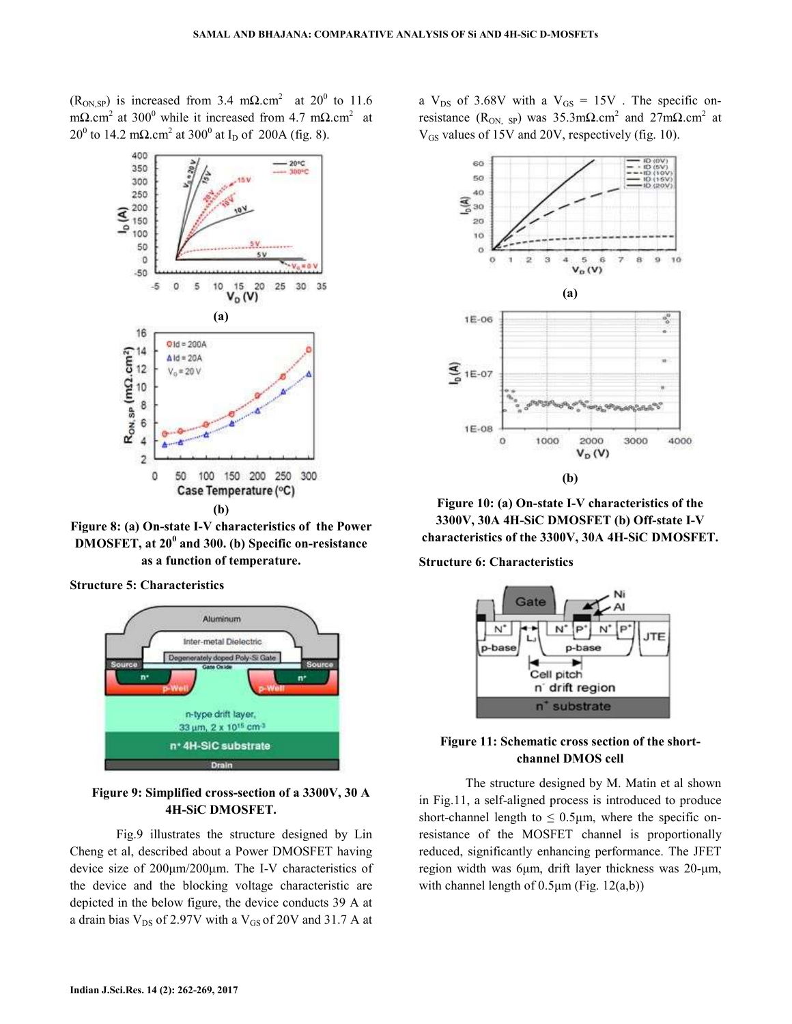$(R<sub>ON,SP</sub>)$  is increased from 3.4 m $\Omega$ .cm<sup>2</sup> at 20<sup>0</sup> to 11.6 m $\Omega$ .cm<sup>2</sup> at 300<sup>0</sup> while it increased from 4.7 m $\Omega$ .cm<sup>2</sup> at 20<sup>0</sup> to 14.2 mΩ.cm<sup>2</sup> at 300<sup>0</sup> at I<sub>D</sub> of 200A (fig. 8).



**Figure 8: (a) On-state I-V characteristics of the Power DMOSFET, at 20<sup>0</sup> and 300. (b) Specific on-resistance as a function of temperature.** 

**Structure 5: Characteristics** 



## **Figure 9: Simplified cross-section of a 3300V, 30 A 4H-SiC DMOSFET.**

 Fig.9 illustrates the structure designed by Lin Cheng et al, described about a Power DMOSFET having device size of 200µm/200µm. The I-V characteristics of the device and the blocking voltage characteristic are depicted in the below figure, the device conducts 39 A at a drain bias  $V_{DS}$  of 2.97V with a  $V_{GS}$  of 20V and 31.7 A at a  $V_{DS}$  of 3.68V with a  $V_{GS} = 15V$ . The specific onresistance (R<sub>ON, SP</sub>) was 35.3m $\Omega$ .cm<sup>2</sup> and 27m $\Omega$ .cm<sup>2</sup> at V<sub>GS</sub> values of 15V and 20V, respectively (fig. 10).



**Figure 10: (a) On-state I-V characteristics of the 3300V, 30A 4H-SiC DMOSFET (b) Off-state I-V characteristics of the 3300V, 30A 4H-SiC DMOSFET.** 

#### **Structure 6: Characteristics**



## **Figure 11: Schematic cross section of the shortchannel DMOS cell**

 The structure designed by M. Matin et al shown in Fig.11, a self-aligned process is introduced to produce short-channel length to  $\leq 0.5\mu$ m, where the specific onresistance of the MOSFET channel is proportionally reduced, significantly enhancing performance. The JFET region width was 6µm, drift layer thickness was 20-µm, with channel length of  $0.5\mu$ m (Fig. 12(a,b))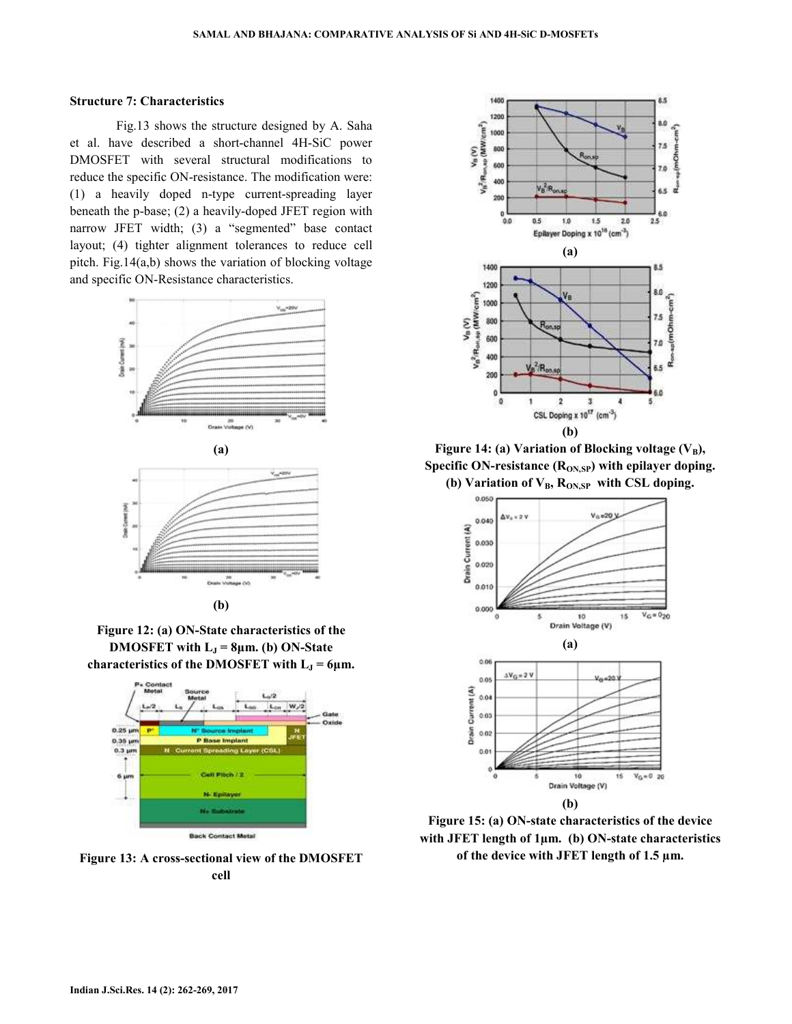#### **Structure 7: Characteristics**

 Fig.13 shows the structure designed by A. Saha et al. have described a short-channel 4H-SiC power DMOSFET with several structural modifications to reduce the specific ON-resistance. The modification were: (1) a heavily doped n-type current-spreading layer beneath the p-base; (2) a heavily-doped JFET region with narrow JFET width; (3) a "segmented" base contact layout; (4) tighter alignment tolerances to reduce cell pitch. Fig.14(a,b) shows the variation of blocking voltage and specific ON-Resistance characteristics.







**Figure 12: (a) ON-State characteristics of the DMOSFET** with  $L_J = 8\mu m$ . (b) ON-State characteristics of the DMOSFET with  $L_J = 6 \mu m$ .



**Figure 13: A cross-sectional view of the DMOSFET cell** 



**Figure 14: (a) Variation of Blocking voltage**  $(V_B)$ **,** Specific ON-resistance (R<sub>ON,SP</sub>) with epilayer doping. **(b) Variation of VB, RON,SP with CSL doping.** 



**Figure 15: (a) ON-state characteristics of the device with JFET length of 1µm. (b) ON-state characteristics of the device with JFET length of 1.5 µm.**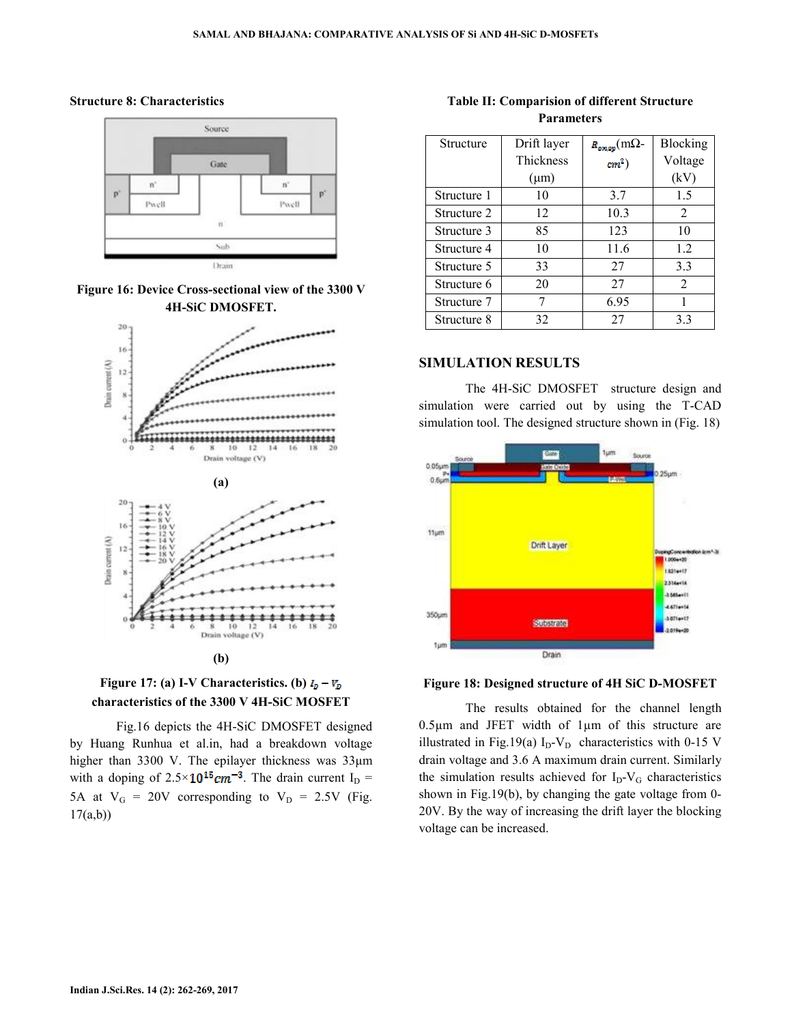#### **Structure 8: Characteristics**









 Fig.16 depicts the 4H-SiC DMOSFET designed by Huang Runhua et al.in, had a breakdown voltage higher than 3300 V. The epilayer thickness was 33µm with a doping of  $2.5 \times 10^{15}$  cm<sup>-3</sup>. The drain current I<sub>D</sub> = 5A at  $V_G = 20V$  corresponding to  $V_D = 2.5V$  (Fig. 17(a,b))

**Table II: Comparision of different Structure Parameters** 

| Structure   | Drift layer      | $R_{\text{on,ap}}$ (m $\Omega$ - | Blocking       |
|-------------|------------------|----------------------------------|----------------|
|             | <b>Thickness</b> | $cm2$ )                          | Voltage        |
|             | $(\mu m)$        |                                  | (kV)           |
| Structure 1 | 10               | 3.7                              | 1.5            |
| Structure 2 | 12               | 10.3                             | 2              |
| Structure 3 | 85               | 123                              | 10             |
| Structure 4 | 10               | 11.6                             | 1.2            |
| Structure 5 | 33               | 27                               | 3.3            |
| Structure 6 | 20               | 27                               | $\overline{2}$ |
| Structure 7 | 7                | 6.95                             | 1              |
| Structure 8 | 32               | 27                               | 3.3            |

## **SIMULATION RESULTS**

 The 4H-SiC DMOSFET structure design and simulation were carried out by using the T-CAD simulation tool. The designed structure shown in (Fig. 18)



#### **Figure 18: Designed structure of 4H SiC D-MOSFET**

 The results obtained for the channel length 0.5µm and JFET width of 1µm of this structure are illustrated in Fig.19(a)  $I_D-V_D$  characteristics with 0-15 V drain voltage and 3.6 A maximum drain current. Similarly the simulation results achieved for  $I_D-V_G$  characteristics shown in Fig.19(b), by changing the gate voltage from 0- 20V. By the way of increasing the drift layer the blocking voltage can be increased.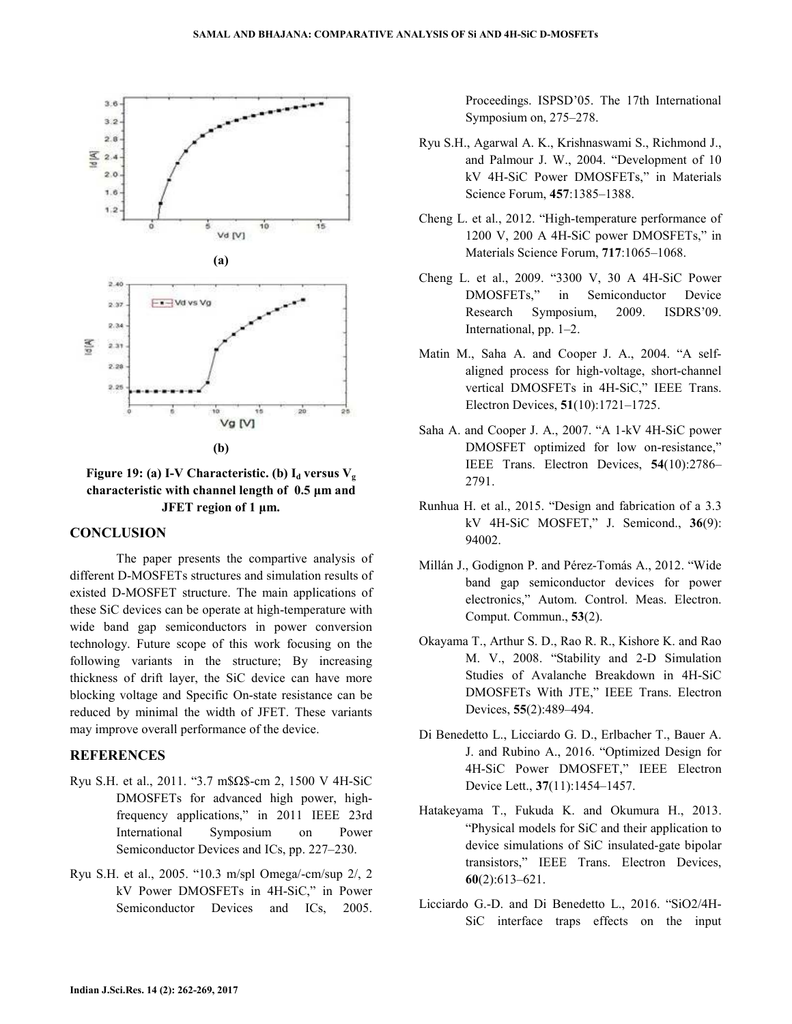

**Figure 19:** (a) I-V Characteristic. (b)  $I_d$  versus  $V_g$ **characteristic with channel length of 0.5 µm and JFET region of 1 µm.** 

### **CONCLUSION**

 The paper presents the compartive analysis of different D-MOSFETs structures and simulation results of existed D-MOSFET structure. The main applications of these SiC devices can be operate at high-temperature with wide band gap semiconductors in power conversion technology. Future scope of this work focusing on the following variants in the structure; By increasing thickness of drift layer, the SiC device can have more blocking voltage and Specific On-state resistance can be reduced by minimal the width of JFET. These variants may improve overall performance of the device.

### **REFERENCES**

- Ryu S.H. et al., 2011. "3.7 m\$Ω\$-cm 2, 1500 V 4H-SiC DMOSFETs for advanced high power, highfrequency applications," in 2011 IEEE 23rd International Symposium on Power Semiconductor Devices and ICs, pp. 227–230.
- Ryu S.H. et al., 2005. "10.3 m/spl Omega/-cm/sup 2/, 2 kV Power DMOSFETs in 4H-SiC," in Power Semiconductor Devices and ICs, 2005.

Proceedings. ISPSD'05. The 17th International Symposium on, 275–278.

- Ryu S.H., Agarwal A. K., Krishnaswami S., Richmond J., and Palmour J. W., 2004. "Development of 10 kV 4H-SiC Power DMOSFETs," in Materials Science Forum, **457**:1385–1388.
- Cheng L. et al., 2012. "High-temperature performance of 1200 V, 200 A 4H-SiC power DMOSFETs," in Materials Science Forum, **717**:1065–1068.
- Cheng L. et al., 2009. "3300 V, 30 A 4H-SiC Power DMOSFETs," in Semiconductor Device Research Symposium, 2009. ISDRS'09. International, pp. 1–2.
- Matin M., Saha A. and Cooper J. A., 2004. "A selfaligned process for high-voltage, short-channel vertical DMOSFETs in 4H-SiC," IEEE Trans. Electron Devices, **51**(10):1721–1725.
- Saha A. and Cooper J. A., 2007. "A 1-kV 4H-SiC power DMOSFET optimized for low on-resistance," IEEE Trans. Electron Devices, **54**(10):2786– 2791.
- Runhua H. et al., 2015. "Design and fabrication of a 3.3 kV 4H-SiC MOSFET," J. Semicond., **36**(9): 94002.
- Millán J., Godignon P. and Pérez-Tomás A., 2012. "Wide band gap semiconductor devices for power electronics," Autom. Control. Meas. Electron. Comput. Commun., **53**(2).
- Okayama T., Arthur S. D., Rao R. R., Kishore K. and Rao M. V., 2008. "Stability and 2-D Simulation Studies of Avalanche Breakdown in 4H-SiC DMOSFETs With JTE," IEEE Trans. Electron Devices, **55**(2):489–494.
- Di Benedetto L., Licciardo G. D., Erlbacher T., Bauer A. J. and Rubino A., 2016. "Optimized Design for 4H-SiC Power DMOSFET," IEEE Electron Device Lett., **37**(11):1454–1457.
- Hatakeyama T., Fukuda K. and Okumura H., 2013. "Physical models for SiC and their application to device simulations of SiC insulated-gate bipolar transistors," IEEE Trans. Electron Devices, **60**(2):613–621.
- Licciardo G.-D. and Di Benedetto L., 2016. "SiO2/4H-SiC interface traps effects on the input